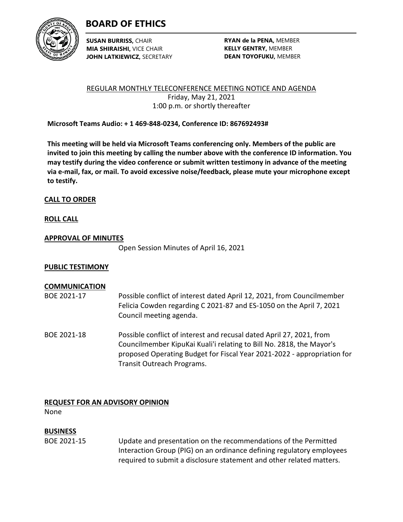

# **BOARD OF ETHICS**

**SUSAN BURRISS,** CHAIR **MIA SHIRAISHI,** VICE CHAIR **JOHN LATKIEWICZ,** SECRETARY

**RYAN de la PENA,** MEMBER **KELLY GENTRY,** MEMBER **DEAN TOYOFUKU,** MEMBER

REGULAR MONTHLY TELECONFERENCE MEETING NOTICE AND AGENDA Friday, May 21, 2021 1:00 p.m. or shortly thereafter

**Microsoft Teams Audio: + 1 469-848-0234, Conference ID: 867692493#**

**This meeting will be held via Microsoft Teams conferencing only. Members of the public are invited to join this meeting by calling the number above with the conference ID information. You may testify during the video conference or submit written testimony in advance of the meeting via e-mail, fax, or mail. To avoid excessive noise/feedback, please mute your microphone except to testify.**

# **CALL TO ORDER**

# **ROLL CALL**

### **APPROVAL OF MINUTES**

Open Session Minutes of April 16, 2021

# **PUBLIC TESTIMONY**

# **COMMUNICATION**

- BOE 2021-17 Possible conflict of interest dated April 12, 2021, from Councilmember Felicia Cowden regarding C 2021-87 and ES-1050 on the April 7, 2021 Council meeting agenda.
- BOE 2021-18 Possible conflict of interest and recusal dated April 27, 2021, from Councilmember KipuKai Kuali'i relating to Bill No. 2818, the Mayor's proposed Operating Budget for Fiscal Year 2021-2022 - appropriation for Transit Outreach Programs.

# **REQUEST FOR AN ADVISORY OPINION**

None

# **BUSINESS**

BOE 2021-15 Update and presentation on the recommendations of the Permitted Interaction Group (PIG) on an ordinance defining regulatory employees required to submit a disclosure statement and other related matters.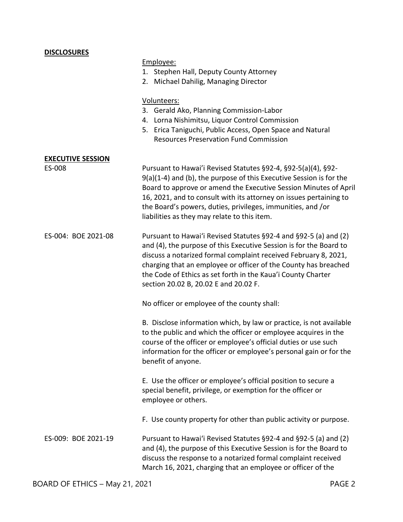# **DISCLOSURES** Employee: 1. Stephen Hall, Deputy County Attorney 2. Michael Dahilig, Managing Director Volunteers: 3. Gerald Ako, Planning Commission-Labor 4. Lorna Nishimitsu, Liquor Control Commission 5. Erica Taniguchi, Public Access, Open Space and Natural Resources Preservation Fund Commission **EXECUTIVE SESSION** ES-008 Pursuant to Hawai'i Revised Statutes §92-4, §92-5(a)(4), §92- 9(a)(1-4) and (b), the purpose of this Executive Session is for the Board to approve or amend the Executive Session Minutes of April 16, 2021, and to consult with its attorney on issues pertaining to the Board's powers, duties, privileges, immunities, and /or liabilities as they may relate to this item. ES-004: BOE 2021-08 Pursuant to Hawai'i Revised Statutes §92-4 and §92-5 (a) and (2) and (4), the purpose of this Executive Session is for the Board to discuss a notarized formal complaint received February 8, 2021, charging that an employee or officer of the County has breached the Code of Ethics as set forth in the Kaua'i County Charter section 20.02 B, 20.02 E and 20.02 F. No officer or employee of the county shall: B. Disclose information which, by law or practice, is not available to the public and which the officer or employee acquires in the course of the officer or employee's official duties or use such information for the officer or employee's personal gain or for the benefit of anyone. E. Use the officer or employee's official position to secure a special benefit, privilege, or exemption for the officer or employee or others. F. Use county property for other than public activity or purpose. ES-009: BOE 2021-19 Pursuant to Hawai'i Revised Statutes §92-4 and §92-5 (a) and (2) and (4), the purpose of this Executive Session is for the Board to discuss the response to a notarized formal complaint received March 16, 2021, charging that an employee or officer of the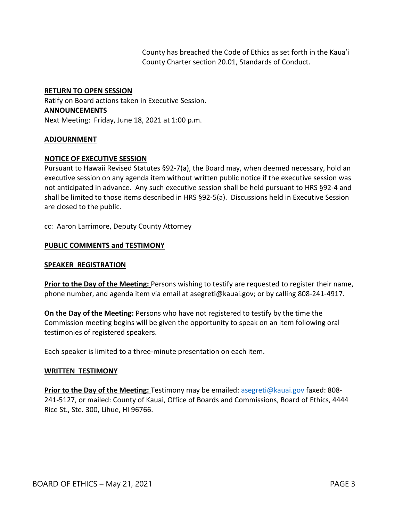County has breached the Code of Ethics as set forth in the Kaua'i County Charter section 20.01, Standards of Conduct.

### **RETURN TO OPEN SESSION**

Ratify on Board actions taken in Executive Session. **ANNOUNCEMENTS** Next Meeting: Friday, June 18, 2021 at 1:00 p.m.

### **ADJOURNMENT**

### **NOTICE OF EXECUTIVE SESSION**

Pursuant to Hawaii Revised Statutes §92-7(a), the Board may, when deemed necessary, hold an executive session on any agenda item without written public notice if the executive session was not anticipated in advance. Any such executive session shall be held pursuant to HRS §92-4 and shall be limited to those items described in HRS §92-5(a). Discussions held in Executive Session are closed to the public.

cc: Aaron Larrimore, Deputy County Attorney

### **PUBLIC COMMENTS and TESTIMONY**

#### **SPEAKER REGISTRATION**

**Prior to the Day of the Meeting:** Persons wishing to testify are requested to register their name, phone number, and agenda item via email at asegreti@kauai.gov; or by calling 808-241-4917.

**On the Day of the Meeting:** Persons who have not registered to testify by the time the Commission meeting begins will be given the opportunity to speak on an item following oral testimonies of registered speakers.

Each speaker is limited to a three-minute presentation on each item.

#### **WRITTEN TESTIMONY**

**Prior to the Day of the Meeting:** Testimony may be emailed: [asegreti@kauai.gov](mailto:asegreti@kauai.gov) faxed: 808- 241-5127, or mailed: County of Kauai, Office of Boards and Commissions, Board of Ethics, 4444 Rice St., Ste. 300, Lihue, HI 96766.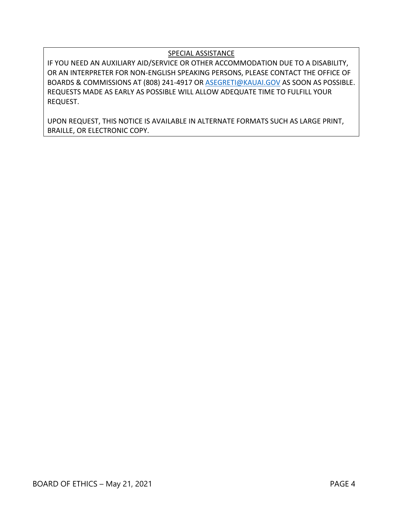# SPECIAL ASSISTANCE

IF YOU NEED AN AUXILIARY AID/SERVICE OR OTHER ACCOMMODATION DUE TO A DISABILITY, OR AN INTERPRETER FOR NON-ENGLISH SPEAKING PERSONS, PLEASE CONTACT THE OFFICE OF BOARDS & COMMISSIONS AT (808) 241-4917 OR [ASEGRETI@KAUAI.GOV](mailto:ASEGRETI@KAUAI.GOV) AS SOON AS POSSIBLE. REQUESTS MADE AS EARLY AS POSSIBLE WILL ALLOW ADEQUATE TIME TO FULFILL YOUR REQUEST.

UPON REQUEST, THIS NOTICE IS AVAILABLE IN ALTERNATE FORMATS SUCH AS LARGE PRINT, BRAILLE, OR ELECTRONIC COPY.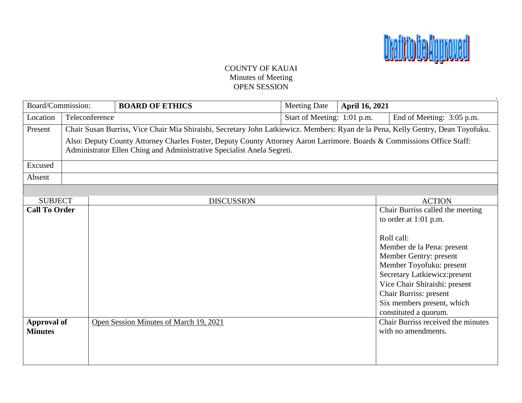

# COUNTY OF KAUAI Minutes of Meeting OPEN SESSION

| Board/Commission:                    |                                                                        |                                                                                                                                  | <b>BOARD OF ETHICS</b>                 | <b>Meeting Date</b>         | <b>April 16, 2021</b> |                                                                                                                                                                                                                                                                                                                  |
|--------------------------------------|------------------------------------------------------------------------|----------------------------------------------------------------------------------------------------------------------------------|----------------------------------------|-----------------------------|-----------------------|------------------------------------------------------------------------------------------------------------------------------------------------------------------------------------------------------------------------------------------------------------------------------------------------------------------|
| Location                             | Teleconference                                                         |                                                                                                                                  |                                        | Start of Meeting: 1:01 p.m. |                       | End of Meeting: 3:05 p.m.                                                                                                                                                                                                                                                                                        |
| Present                              |                                                                        | Chair Susan Burriss, Vice Chair Mia Shiraishi, Secretary John Latkiewicz. Members: Ryan de la Pena, Kelly Gentry, Dean Toyofuku. |                                        |                             |                       |                                                                                                                                                                                                                                                                                                                  |
|                                      |                                                                        | Also: Deputy County Attorney Charles Foster, Deputy County Attorney Aaron Larrimore. Boards & Commissions Office Staff:          |                                        |                             |                       |                                                                                                                                                                                                                                                                                                                  |
|                                      | Administrator Ellen Ching and Administrative Specialist Anela Segreti. |                                                                                                                                  |                                        |                             |                       |                                                                                                                                                                                                                                                                                                                  |
| Excused                              |                                                                        |                                                                                                                                  |                                        |                             |                       |                                                                                                                                                                                                                                                                                                                  |
| Absent                               |                                                                        |                                                                                                                                  |                                        |                             |                       |                                                                                                                                                                                                                                                                                                                  |
|                                      |                                                                        |                                                                                                                                  |                                        |                             |                       |                                                                                                                                                                                                                                                                                                                  |
| <b>SUBJECT</b>                       |                                                                        |                                                                                                                                  | <b>DISCUSSION</b>                      |                             |                       | <b>ACTION</b>                                                                                                                                                                                                                                                                                                    |
| <b>Call To Order</b>                 |                                                                        |                                                                                                                                  |                                        |                             |                       | Chair Burriss called the meeting<br>to order at $1:01$ p.m.<br>Roll call:<br>Member de la Pena: present<br>Member Gentry: present<br>Member Toyofuku: present<br>Secretary Latkiewicz: present<br>Vice Chair Shiraishi: present<br>Chair Burriss: present<br>Six members present, which<br>constituted a quorum. |
| <b>Approval of</b><br><b>Minutes</b> |                                                                        |                                                                                                                                  | Open Session Minutes of March 19, 2021 |                             |                       | Chair Burriss received the minutes<br>with no amendments.                                                                                                                                                                                                                                                        |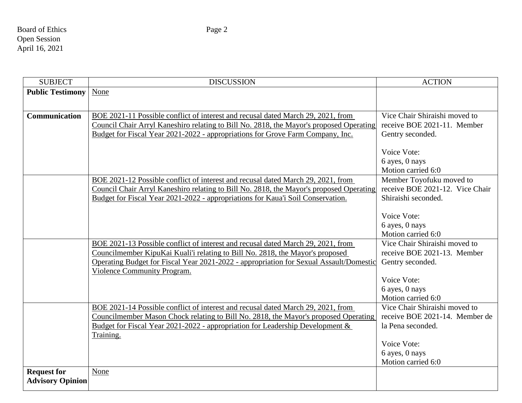Board of Ethics Page 2 Open Session April 16, 2021

SUBJECT DISCUSSION ACTION **Public Testimony** None **Communication** BOE 2021-11 Possible conflict of interest and recusal dated March 29, 2021, from Council Chair Arryl Kaneshiro relating to Bill No. 2818, the Mayor's proposed Operating Budget for Fiscal Year 2021-2022 - appropriations for Grove Farm Company, Inc. Vice Chair Shiraishi moved to receive BOE 2021-11. Member Gentry seconded. Voice Vote: 6 ayes, 0 nays Motion carried 6:0 BOE 2021-12 Possible conflict of interest and recusal dated March 29, 2021, from Council Chair Arryl Kaneshiro relating to Bill No. 2818, the Mayor's proposed Operating Budget for Fiscal Year 2021-2022 - appropriations for Kaua'i Soil Conservation. Member Toyofuku moved to receive BOE 2021-12. Vice Chair Shiraishi seconded. Voice Vote: 6 ayes, 0 nays Motion carried 6:0 BOE 2021-13 Possible conflict of interest and recusal dated March 29, 2021, from Councilmember KipuKai Kuali'i relating to Bill No. 2818, the Mayor's proposed Operating Budget for Fiscal Year 2021-2022 - appropriation for Sexual Assault/Domestic Violence Community Program. Vice Chair Shiraishi moved to receive BOE 2021-13. Member Gentry seconded. Voice Vote: 6 ayes, 0 nays Motion carried 6:0 BOE 2021-14 Possible conflict of interest and recusal dated March 29, 2021, from Councilmember Mason Chock relating to Bill No. 2818, the Mayor's proposed Operating Budget for Fiscal Year 2021-2022 - appropriation for Leadership Development & Training. Vice Chair Shiraishi moved to receive BOE 2021-14. Member de la Pena seconded. Voice Vote: 6 ayes, 0 nays Motion carried 6:0 **Request for Advisory Opinion** None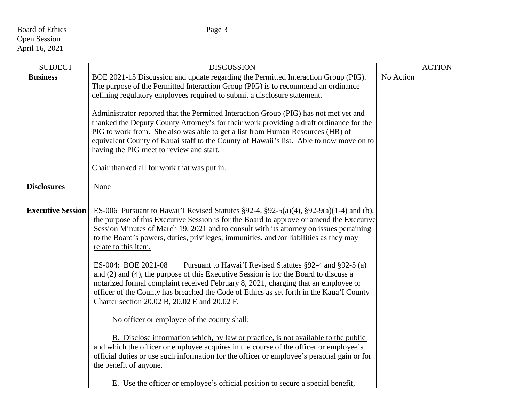# Board of Ethics Page 3 Open Session April 16, 2021

| <b>SUBJECT</b>           | <b>DISCUSSION</b>                                                                                                                                                         | <b>ACTION</b> |
|--------------------------|---------------------------------------------------------------------------------------------------------------------------------------------------------------------------|---------------|
| <b>Business</b>          | BOE 2021-15 Discussion and update regarding the Permitted Interaction Group (PIG).                                                                                        | No Action     |
|                          | The purpose of the Permitted Interaction Group (PIG) is to recommend an ordinance                                                                                         |               |
|                          | defining regulatory employees required to submit a disclosure statement.                                                                                                  |               |
|                          |                                                                                                                                                                           |               |
|                          | Administrator reported that the Permitted Interaction Group (PIG) has not met yet and                                                                                     |               |
|                          | thanked the Deputy County Attorney's for their work providing a draft ordinance for the                                                                                   |               |
|                          | PIG to work from. She also was able to get a list from Human Resources (HR) of<br>equivalent County of Kauai staff to the County of Hawaii's list. Able to now move on to |               |
|                          | having the PIG meet to review and start.                                                                                                                                  |               |
|                          |                                                                                                                                                                           |               |
|                          | Chair thanked all for work that was put in.                                                                                                                               |               |
|                          |                                                                                                                                                                           |               |
| <b>Disclosures</b>       | None                                                                                                                                                                      |               |
|                          |                                                                                                                                                                           |               |
| <b>Executive Session</b> | ES-006 Pursuant to Hawai'I Revised Statutes §92-4, §92-5(a)(4), §92-9(a)(1-4) and (b),                                                                                    |               |
|                          | the purpose of this Executive Session is for the Board to approve or amend the Executive                                                                                  |               |
|                          | Session Minutes of March 19, 2021 and to consult with its attorney on issues pertaining                                                                                   |               |
|                          | to the Board's powers, duties, privileges, immunities, and /or liabilities as they may                                                                                    |               |
|                          | relate to this item.                                                                                                                                                      |               |
|                          |                                                                                                                                                                           |               |
|                          | ES-004: BOE 2021-08<br>Pursuant to Hawai'I Revised Statutes §92-4 and §92-5 (a)                                                                                           |               |
|                          | and (2) and (4), the purpose of this Executive Session is for the Board to discuss a                                                                                      |               |
|                          | notarized formal complaint received February 8, 2021, charging that an employee or                                                                                        |               |
|                          | officer of the County has breached the Code of Ethics as set forth in the Kaua'I County                                                                                   |               |
|                          | Charter section 20.02 B, 20.02 E and 20.02 F.                                                                                                                             |               |
|                          | No officer or employee of the county shall:                                                                                                                               |               |
|                          |                                                                                                                                                                           |               |
|                          | B. Disclose information which, by law or practice, is not available to the public                                                                                         |               |
|                          | and which the officer or employee acquires in the course of the officer or employee's                                                                                     |               |
|                          | official duties or use such information for the officer or employee's personal gain or for                                                                                |               |
|                          | the benefit of anyone.                                                                                                                                                    |               |
|                          |                                                                                                                                                                           |               |
|                          | E. Use the officer or employee's official position to secure a special benefit,                                                                                           |               |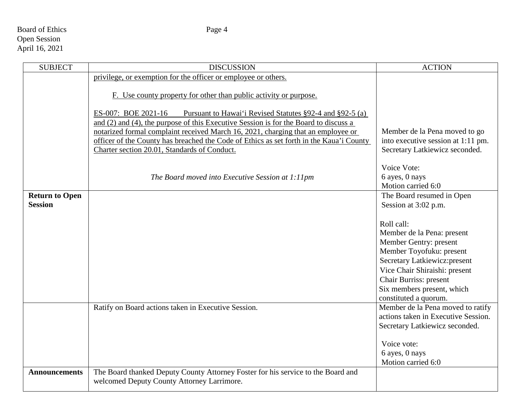# Board of Ethics Page 4 Open Session April 16, 2021

| <b>SUBJECT</b>        | <b>DISCUSSION</b>                                                                                                                                                                                                                                                                                                                                      | <b>ACTION</b>                                                            |
|-----------------------|--------------------------------------------------------------------------------------------------------------------------------------------------------------------------------------------------------------------------------------------------------------------------------------------------------------------------------------------------------|--------------------------------------------------------------------------|
|                       | privilege, or exemption for the officer or employee or others.                                                                                                                                                                                                                                                                                         |                                                                          |
|                       | F. Use county property for other than public activity or purpose.                                                                                                                                                                                                                                                                                      |                                                                          |
|                       | Pursuant to Hawai'i Revised Statutes §92-4 and §92-5 (a)<br>ES-007: BOE 2021-16<br>and (2) and (4), the purpose of this Executive Session is for the Board to discuss a<br>notarized formal complaint received March 16, 2021, charging that an employee or<br>officer of the County has breached the Code of Ethics as set forth in the Kaua'i County | Member de la Pena moved to go<br>into executive session at 1:11 pm.      |
|                       | Charter section 20.01, Standards of Conduct.                                                                                                                                                                                                                                                                                                           | Secretary Latkiewicz seconded.                                           |
|                       | The Board moved into Executive Session at 1:11pm                                                                                                                                                                                                                                                                                                       | Voice Vote:<br>6 ayes, 0 nays<br>Motion carried 6:0                      |
| <b>Return to Open</b> |                                                                                                                                                                                                                                                                                                                                                        | The Board resumed in Open                                                |
| <b>Session</b>        |                                                                                                                                                                                                                                                                                                                                                        | Session at 3:02 p.m.                                                     |
|                       |                                                                                                                                                                                                                                                                                                                                                        | Roll call:                                                               |
|                       |                                                                                                                                                                                                                                                                                                                                                        | Member de la Pena: present                                               |
|                       |                                                                                                                                                                                                                                                                                                                                                        | Member Gentry: present                                                   |
|                       |                                                                                                                                                                                                                                                                                                                                                        | Member Toyofuku: present                                                 |
|                       |                                                                                                                                                                                                                                                                                                                                                        | Secretary Latkiewicz: present                                            |
|                       |                                                                                                                                                                                                                                                                                                                                                        | Vice Chair Shiraishi: present                                            |
|                       |                                                                                                                                                                                                                                                                                                                                                        | Chair Burriss: present                                                   |
|                       |                                                                                                                                                                                                                                                                                                                                                        | Six members present, which                                               |
|                       |                                                                                                                                                                                                                                                                                                                                                        | constituted a quorum.                                                    |
|                       | Ratify on Board actions taken in Executive Session.                                                                                                                                                                                                                                                                                                    | Member de la Pena moved to ratify<br>actions taken in Executive Session. |
|                       |                                                                                                                                                                                                                                                                                                                                                        | Secretary Latkiewicz seconded.                                           |
|                       |                                                                                                                                                                                                                                                                                                                                                        |                                                                          |
|                       |                                                                                                                                                                                                                                                                                                                                                        | Voice vote:                                                              |
|                       |                                                                                                                                                                                                                                                                                                                                                        | 6 ayes, 0 nays                                                           |
|                       |                                                                                                                                                                                                                                                                                                                                                        | Motion carried 6:0                                                       |
| <b>Announcements</b>  | The Board thanked Deputy County Attorney Foster for his service to the Board and<br>welcomed Deputy County Attorney Larrimore.                                                                                                                                                                                                                         |                                                                          |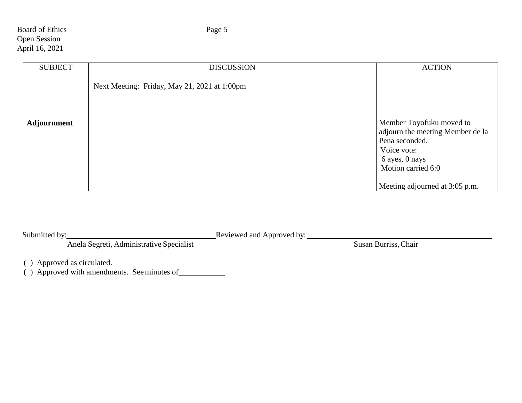# Board of Ethics Page 5 Open Session April 16, 2021

|             |                                              | <b>ACTION</b>                                                                                                                                                           |
|-------------|----------------------------------------------|-------------------------------------------------------------------------------------------------------------------------------------------------------------------------|
|             | Next Meeting: Friday, May 21, 2021 at 1:00pm |                                                                                                                                                                         |
| Adjournment |                                              | Member Toyofuku moved to<br>adjourn the meeting Member de la<br>Pena seconded.<br>Voice vote:<br>6 ayes, 0 nays<br>Motion carried 6:0<br>Meeting adjourned at 3:05 p.m. |

| Submitted by:                            | Reviewed and Approved by: |                      |
|------------------------------------------|---------------------------|----------------------|
| Anela Segreti, Administrative Specialist |                           | Susan Burriss, Chair |

( ) Approved as circulated.

( ) Approved with amendments. Seeminutes of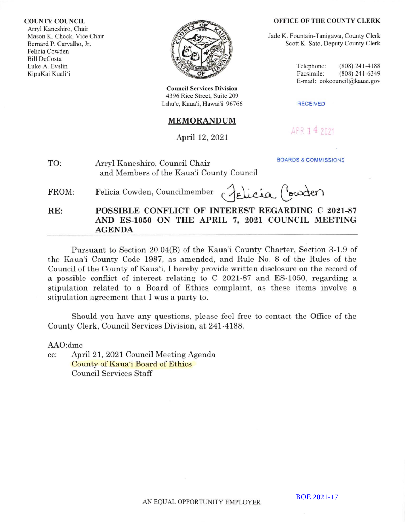#### COUNTY COUNCIL

Arryl Kaneshiro. Chair Mason K. Chock. Vice Chair Bemard P. Carvalho. lr. Felicia Cowden Bill DeCosta Luke A. Evslin KipuKai Kuali'i



**Council Services Division** 4396 Rice Street. Suite 209 Līhu'e, Kaua'i, Hawai'i 96766 RECEIVED

# **MEMORANDUM**

# April 12, 2021

#### OFFICE OF THE COUNTY CLERK

Jade K. Fountain-Tanigawa, County Clerk Scott K. Sato, Deputy County Clerk

> Telephone: (808) 241-4188<br>Facsimile: (808) 241-6349  $(808)$  241-6349 E-mail: cokcouncil@kauai.gov

APR 14 2021

**BOARDS & COMMISSIONS** 

| TO: | Arryl Kaneshiro, Council Chair           |
|-----|------------------------------------------|
|     | and Members of the Kaua'i County Council |

FROM:

 $Felicia Cowden, Councilmember \cap Aellica (vouden)$ 

RE: POSSIBLE CONFLICT OF INTEREST REGARDING C 2021-87 AND ES-1050 ON THE APBIL 7, 2O2I COUNCIL MEETING AGENDA

Pursuant to Section 20.04(8) of the Kaua'i County Charter, Section 3-1.9 of the Kaua'i County Code 1987, as amended, and RuIe No. 8 of the Rules of the Council of the County of Kaua'i, I hereby provide written disclosure on the record of a possible conflict of interest relating to C 2O2l-87 and ES-1050, regarding <sup>a</sup> stipulation related to a Board of Ethics complaint, as these items involve <sup>a</sup> stipulation agreement that I was a party to.

Should you have any questions, please feel free to contact the Offrce of the County Clerk, Council Services Division, at 241-4188.

AAO:dmc

cc: April 21, 2021 Council Meeting Agenda County of Kaua'i Board of Ethics Council Services Staff